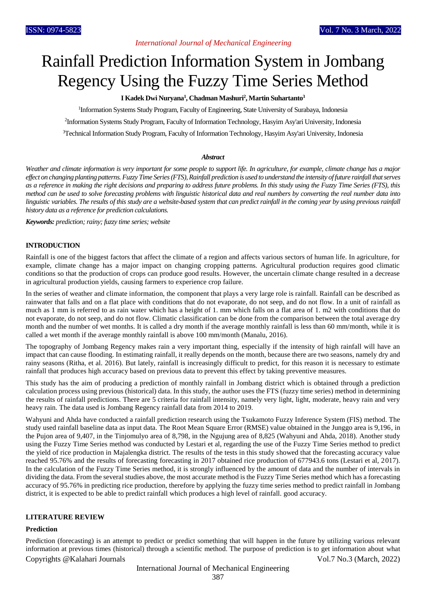# *International Journal of Mechanical Engineering*

# Rainfall Prediction Information System in Jombang Regency Using the Fuzzy Time Series Method

# **I Kadek Dwi Nuryana<sup>1</sup> , Chadman Mashuri<sup>2</sup> , Martin Suhartanto<sup>3</sup>**

<sup>1</sup>Information Systems Study Program, Faculty of Engineering, State University of Surabaya, Indonesia

2 Information Systems Study Program, Faculty of Information Technology, Hasyim Asy'ari University, Indonesia

<sup>3</sup>Technical Information Study Program, Faculty of Information Technology, Hasyim Asy'ari University, Indonesia

#### *Abstract*

*Weather and climate information is very important for some people to support life. In agriculture, for example, climate change has a major effect on changing planting patterns. Fuzzy Time Series (FTS), Rainfall prediction is used to understand the intensity of future rainfall that serves as a reference in making the right decisions and preparing to address future problems. In this study using the Fuzzy Time Series (FTS), this method can be used to solve forecasting problems with linguistic historical data and real numbers by converting the real number data into linguistic variables. The results of this study are a website-based system that can predict rainfall in the coming year by using previous rainfall history data as a reference for prediction calculations.*

*Keywords: prediction; rainy; fuzzy time series; website* 

#### **INTRODUCTION**

Rainfall is one of the biggest factors that affect the climate of a region and affects various sectors of human life. In agriculture, for example, climate change has a major impact on changing cropping patterns. Agricultural production requires good climatic conditions so that the production of crops can produce good results. However, the uncertain climate change resulted in a decrease in agricultural production yields, causing farmers to experience crop failure.

In the series of weather and climate information, the component that plays a very large role is rainfall. Rainfall can be described as rainwater that falls and on a flat place with conditions that do not evaporate, do not seep, and do not flow. In a unit of rainfall as much as 1 mm is referred to as rain water which has a height of 1. mm which falls on a flat area of 1. m2 with conditions that do not evaporate, do not seep, and do not flow. Climatic classification can be done from the comparison between the total average dry month and the number of wet months. It is called a dry month if the average monthly rainfall is less than 60 mm/month, while it is called a wet month if the average monthly rainfall is above 100 mm/month (Manalu, 2016).

The topography of Jombang Regency makes rain a very important thing, especially if the intensity of high rainfall will have an impact that can cause flooding. In estimating rainfall, it really depends on the month, because there are two seasons, namely dry and rainy seasons (Ritha, et al. 2016). But lately, rainfall is increasingly difficult to predict, for this reason it is necessary to estimate rainfall that produces high accuracy based on previous data to prevent this effect by taking preventive measures.

This study has the aim of producing a prediction of monthly rainfall in Jombang district which is obtained through a prediction calculation process using previous (historical) data. In this study, the author uses the FTS (fuzzy time series) method in determining the results of rainfall predictions. There are 5 criteria for rainfall intensity, namely very light, light, moderate, heavy rain and very heavy rain. The data used is Jombang Regency rainfall data from 2014 to 2019.

Wahyuni and Ahda have conducted a rainfall prediction research using the Tsukamoto Fuzzy Inference System (FIS) method. The study used rainfall baseline data as input data. The Root Mean Square Error (RMSE) value obtained in the Junggo area is 9,196, in the Pujon area of 9,407, in the Tinjomulyo area of 8,798, in the Ngujung area of 8,825 (Wahyuni and Ahda, 2018). Another study using the Fuzzy Time Series method was conducted by Lestari et al, regarding the use of the Fuzzy Time Series method to predict the yield of rice production in Majalengka district. The results of the tests in this study showed that the forecasting accuracy value reached 95.76% and the results of forecasting forecasting in 2017 obtained rice production of 677943.6 tons (Lestari et al, 2017). In the calculation of the Fuzzy Time Series method, it is strongly influenced by the amount of data and the number of intervals in dividing the data. From the several studies above, the most accurate method is the Fuzzy Time Series method which has a forecasting accuracy of 95.76% in predicting rice production, therefore by applying the fuzzy time series method to predict rainfall in Jombang district, it is expected to be able to predict rainfall which produces a high level of rainfall. good accuracy.

#### **LITERATURE REVIEW**

## **Prediction**

Copyrights @Kalahari Journals Vol.7 No.3 (March, 2022) Prediction (forecasting) is an attempt to predict or predict something that will happen in the future by utilizing various relevant information at previous times (historical) through a scientific method. The purpose of prediction is to get information about what

International Journal of Mechanical Engineering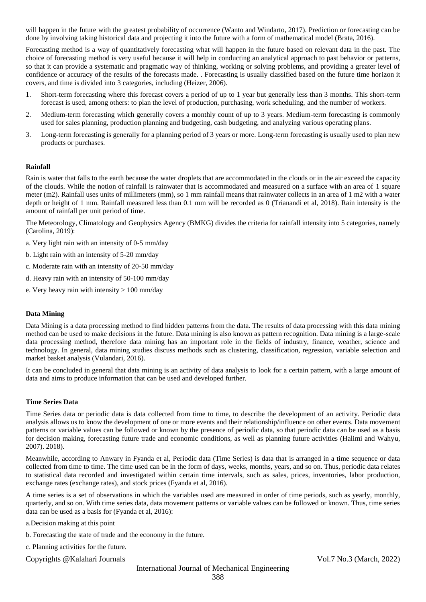will happen in the future with the greatest probability of occurrence (Wanto and Windarto, 2017). Prediction or forecasting can be done by involving taking historical data and projecting it into the future with a form of mathematical model (Brata, 2016).

Forecasting method is a way of quantitatively forecasting what will happen in the future based on relevant data in the past. The choice of forecasting method is very useful because it will help in conducting an analytical approach to past behavior or patterns, so that it can provide a systematic and pragmatic way of thinking, working or solving problems, and providing a greater level of confidence or accuracy of the results of the forecasts made. . Forecasting is usually classified based on the future time horizon it covers, and time is divided into 3 categories, including (Heizer, 2006).

- 1. Short-term forecasting where this forecast covers a period of up to 1 year but generally less than 3 months. This short-term forecast is used, among others: to plan the level of production, purchasing, work scheduling, and the number of workers.
- 2. Medium-term forecasting which generally covers a monthly count of up to 3 years. Medium-term forecasting is commonly used for sales planning, production planning and budgeting, cash budgeting, and analyzing various operating plans.
- 3. Long-term forecasting is generally for a planning period of 3 years or more. Long-term forecasting is usually used to plan new products or purchases.

# **Rainfall**

Rain is water that falls to the earth because the water droplets that are accommodated in the clouds or in the air exceed the capacity of the clouds. While the notion of rainfall is rainwater that is accommodated and measured on a surface with an area of 1 square meter (m2). Rainfall uses units of millimeters (mm), so 1 mm rainfall means that rainwater collects in an area of 1 m2 with a water depth or height of 1 mm. Rainfall measured less than 0.1 mm will be recorded as 0 (Trianandi et al, 2018). Rain intensity is the amount of rainfall per unit period of time.

The Meteorology, Climatology and Geophysics Agency (BMKG) divides the criteria for rainfall intensity into 5 categories, namely (Carolina, 2019):

- a. Very light rain with an intensity of 0-5 mm/day
- b. Light rain with an intensity of 5-20 mm/day
- c. Moderate rain with an intensity of 20-50 mm/day
- d. Heavy rain with an intensity of 50-100 mm/day
- e. Very heavy rain with intensity > 100 mm/day

# **Data Mining**

Data Mining is a data processing method to find hidden patterns from the data. The results of data processing with this data mining method can be used to make decisions in the future. Data mining is also known as pattern recognition. Data mining is a large-scale data processing method, therefore data mining has an important role in the fields of industry, finance, weather, science and technology. In general, data mining studies discuss methods such as clustering, classification, regression, variable selection and market basket analysis (Vulandari, 2016).

It can be concluded in general that data mining is an activity of data analysis to look for a certain pattern, with a large amount of data and aims to produce information that can be used and developed further.

#### **Time Series Data**

Time Series data or periodic data is data collected from time to time, to describe the development of an activity. Periodic data analysis allows us to know the development of one or more events and their relationship/influence on other events. Data movement patterns or variable values can be followed or known by the presence of periodic data, so that periodic data can be used as a basis for decision making, forecasting future trade and economic conditions, as well as planning future activities (Halimi and Wahyu, 2007). 2018).

Meanwhile, according to Anwary in Fyanda et al, Periodic data (Time Series) is data that is arranged in a time sequence or data collected from time to time. The time used can be in the form of days, weeks, months, years, and so on. Thus, periodic data relates to statistical data recorded and investigated within certain time intervals, such as sales, prices, inventories, labor production, exchange rates (exchange rates), and stock prices (Fyanda et al, 2016).

A time series is a set of observations in which the variables used are measured in order of time periods, such as yearly, monthly, quarterly, and so on. With time series data, data movement patterns or variable values can be followed or known. Thus, time series data can be used as a basis for (Fyanda et al, 2016):

a.Decision making at this point

b. Forecasting the state of trade and the economy in the future.

c. Planning activities for the future.

Copyrights @Kalahari Journals Vol.7 No.3 (March, 2022)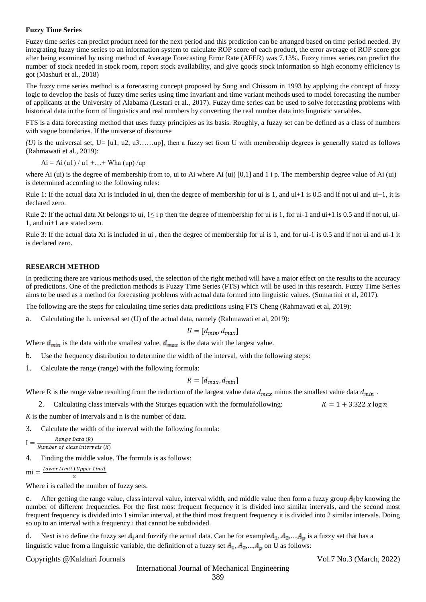### **Fuzzy Time Series**

Fuzzy time series can predict product need for the next period and this prediction can be arranged based on time period needed. By integrating fuzzy time series to an information system to calculate ROP score of each product, the error average of ROP score got after being examined by using method of Average Forecasting Error Rate (AFER) was 7.13%. Fuzzy times series can predict the number of stock needed in stock room, report stock availability, and give goods stock information so high economy efficiency is got (Mashuri et al., 2018)

The fuzzy time series method is a forecasting concept proposed by Song and Chissom in 1993 by applying the concept of fuzzy logic to develop the basis of fuzzy time series using time invariant and time variant methods used to model forecasting the number of applicants at the University of Alabama (Lestari et al., 2017). Fuzzy time series can be used to solve forecasting problems with historical data in the form of linguistics and real numbers by converting the real number data into linguistic variables.

FTS is a data forecasting method that uses fuzzy principles as its basis. Roughly, a fuzzy set can be defined as a class of numbers with vague boundaries. If the universe of discourse

*(U)* is the universal set, U= [u1, u2, u3……up], then a fuzzy set from U with membership degrees is generally stated as follows (Rahmawati et al., 2019):

 $Ai = Ai (u1) / u1 + ... + Wha (up) / up$ 

where Ai (ui) is the degree of membership from to, ui to Ai where Ai (ui)  $[0,1]$  and 1 i p. The membership degree value of Ai (ui) is determined according to the following rules:

Rule 1: If the actual data Xt is included in ui, then the degree of membership for ui is 1, and ui+1 is 0.5 and if not ui and ui+1, it is declared zero.

Rule 2: If the actual data Xt belongs to ui,  $1 \le i$  p then the degree of membership for ui is 1, for ui-1 and ui+1 is 0.5 and if not ui, ui-1, and ui+1 are stated zero.

Rule 3: If the actual data Xt is included in ui , then the degree of membership for ui is 1, and for ui-1 is 0.5 and if not ui and ui-1 it is declared zero.

## **RESEARCH METHOD**

In predicting there are various methods used, the selection of the right method will have a major effect on the results to the accuracy of predictions. One of the prediction methods is Fuzzy Time Series (FTS) which will be used in this research. Fuzzy Time Series aims to be used as a method for forecasting problems with actual data formed into linguistic values. (Sumartini et al, 2017).

The following are the steps for calculating time series data predictions using FTS Cheng (Rahmawati et al, 2019):

a. Calculating the h. universal set (U) of the actual data, namely (Rahmawati et al, 2019):

$$
U = [d_{min}, d_{max}]
$$

Where  $d_{min}$  is the data with the smallest value,  $d_{max}$  is the data with the largest value.

b. Use the frequency distribution to determine the width of the interval, with the following steps:

1. Calculate the range (range) with the following formula:

# $R = [d_{max}, d_{min}]$

Where R is the range value resulting from the reduction of the largest value data  $d_{max}$  minus the smallest value data  $d_{min}$ .

2. Calculating class intervals with the Sturges equation with the formulafollowing:  $K = 1 + 3.322 x \log n$ 

*K* is the number of intervals and n is the number of data.

3. Calculate the width of the interval with the following formula:

$$
I = \frac{Range \, Data \, (R)}{Number \, of \, class \, intervals \, (K)}
$$

4. Finding the middle value. The formula is as follows:

```
mi =Lower Limit+Upper Limit\overline{2}
```
Where i is called the number of fuzzy sets.

c. After getting the range value, class interval value, interval width, and middle value then form a fuzzy group  $A_i$  by knowing the number of different frequencies. For the first most frequent frequency it is divided into similar intervals, and the second most frequent frequency is divided into 1 similar interval, at the third most frequent frequency it is divided into 2 similar intervals. Doing so up to an interval with a frequency.i that cannot be subdivided.

d. Next is to define the fuzzy set  $A_i$  and fuzzify the actual data. Can be for example  $A_1, A_2, ..., A_n$  is a fuzzy set that has a linguistic value from a linguistic variable, the definition of a fuzzy set  $A_1$ ,  $A_2$ ,...,  $A_n$ , on U as follows:

#### Copyrights @Kalahari Journals Vol.7 No.3 (March, 2022)

389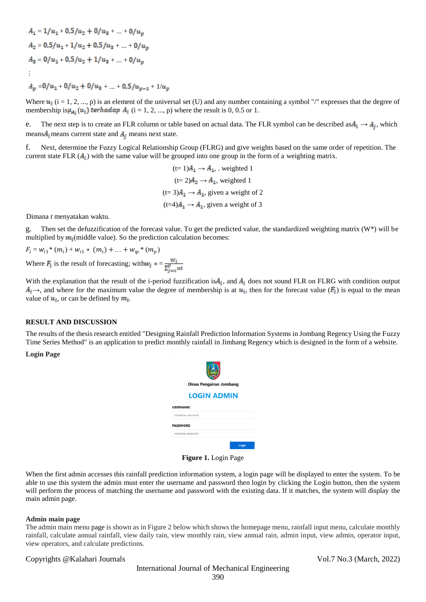$$
A_1 = 1/u_1 + 0.5/u_2 + 0/u_3 + \dots + 0/u_p
$$
  
\n
$$
A_2 = 0.5/u_1 + 1/u_2 + 0.5/u_3 + \dots + 0/u_p
$$
  
\n
$$
A_3 = 0/u_1 + 0.5/u_2 + 1/u_3 + \dots + 0/u_p
$$
  
\n
$$
\vdots
$$
  
\n
$$
A_p = 0/u_1 + 0/u_2 + 0/u_3 + \dots + 0.5/u_{p-1} + 1/u_p
$$

Where  $u_i$  (i = 1, 2, ..., p) is an element of the universal set (U) and any number containing a symbol "/" expresses that the degree of membership is  $\mu_{A_i}(u_i)$  terhadap  $A_i$  (i = 1, 2, ..., p) where the result is 0, 0.5 or 1.

e. The next step is to create an FLR column or table based on actual data. The FLR symbol can be described as  $A_i \rightarrow A_i$ , which means  $A_i$  means current state and  $A_i$  means next state.

f. Next, determine the Fuzzy Logical Relationship Group (FLRG) and give weights based on the same order of repetition. The current state FLR  $(A_i)$  with the same value will be grouped into one group in the form of a weighting matrix.

> $(t= 1)$  $A_1 \rightarrow A_1$ , weighted 1  $(t= 2) A_2 \rightarrow A_1$ , weighted 1  $(t= 3)$  $A<sub>1</sub> \rightarrow A<sub>1</sub>$ , given a weight of 2  $(t=4)$  $A_1 \rightarrow A_1$ , given a weight of 3

Dimana *t* menyatakan waktu.

g. Then set the defuzzification of the forecast value. To get the predicted value, the standardized weighting matrix (W\*) will be multiplied by  $m_i$  (middle value). So the prediction calculation becomes:

Where  $F_i$  is the result of forecasting; with  $w_i = \frac{W_i}{\sum_{i=1}^{p} w_i}$  $F_i = w_{i1} * (m_i) + w_{i1} * (m_i) + ... + w_{ip} * (m_p)$ 

With the explanation that the result of the i-period fuzzification is  $A_i$ , and  $A_i$  does not sound FLR on FLRG with condition output  $A_i \rightarrow$ , and where for the maximum value the degree of membership is at  $u_i$ , then for the forecast value ( $F_i$ ) is equal to the mean value of  $u_i$ , or can be defined by  $m_i$ .

#### **RESULT AND DISCUSSION**

The results of the thesis research entitled "Designing Rainfall Prediction Information Systems in Jombang Regency Using the Fuzzy Time Series Method" is an application to predict monthly rainfall in Jimbang Regency which is designed in the form of a website.

**Login Page**

| <b>Dinas Pengairan Jombang</b> |       |  |  |  |  |
|--------------------------------|-------|--|--|--|--|
| <b>LOGIN ADMIN</b>             |       |  |  |  |  |
| <b>JSERNAME</b>                |       |  |  |  |  |
| masukkan username              |       |  |  |  |  |
| <b>ASSWORD</b>                 |       |  |  |  |  |
| masukkan password              |       |  |  |  |  |
|                                | Login |  |  |  |  |

**Figure 1.** Login Page

When the first admin accesses this rainfall prediction information system, a login page will be displayed to enter the system. To be able to use this system the admin must enter the username and password then login by clicking the Login button, then the system will perform the process of matching the username and password with the existing data. If it matches, the system will display the main admin page.

#### **Admin main page**

The admin main menu page is shown as in Figure 2 below which shows the homepage menu, rainfall input menu, calculate monthly rainfall, calculate annual rainfall, view daily rain, view monthly rain, view annual rain, admin input, view admin, operator input, view operators, and calculate predictions.

#### Copyrights @Kalahari Journals Vol.7 No.3 (March, 2022)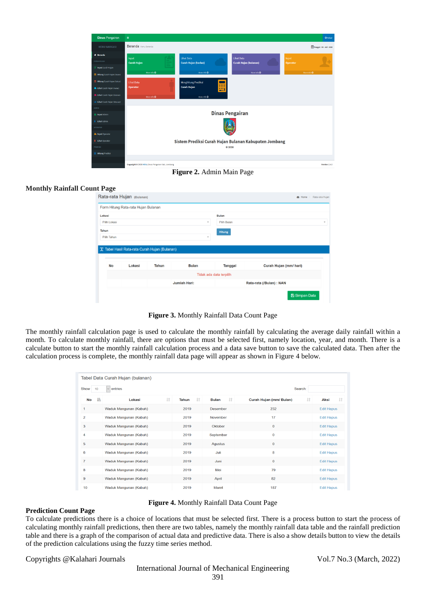| <b>Dinas Pengairan</b>             | $\equiv$                                                           |                                                       |                        | <b>Ö</b> Keluar           |
|------------------------------------|--------------------------------------------------------------------|-------------------------------------------------------|------------------------|---------------------------|
| <b>MENU NAVIGASI</b>               | Beranda Menu Beranda                                               |                                                       |                        | Tanggal: 08 - Juli - 2020 |
| <b># Beranda</b>                   | Input                                                              | <b>Lihat Data</b>                                     | <b>Lihat Data</b>      | Input                     |
| CURAH HUJAN                        | <b>Curah Hujan</b><br>Ξ                                            | <b>Curah Hujan (harian)</b>                           | Curah Hujan (bulanan)  | <b>Operator</b>           |
| Input Curah Hujan                  |                                                                    |                                                       |                        |                           |
| <b>Hitung Curah Hujan (bulan)</b>  | More info O                                                        | More info O                                           | More info O            | More info O               |
| <b>Hitung Curah Hujan (/tahun)</b> | <b>Lihat Data</b>                                                  | <b>Menghitung Prediksi</b>                            |                        |                           |
| Lihat Curah Hujan (Harian)         | <b>Operator</b>                                                    | ⊞<br><b>Curah Hujan</b>                               |                        |                           |
| Lihat Curah Hujan (Bulanan)        | More info O                                                        | More info O                                           |                        |                           |
| Lihat Curah Hujan (Tahunan)        |                                                                    |                                                       |                        |                           |
| <b>ADMIN</b>                       |                                                                    |                                                       |                        |                           |
| <b>d</b> e Input Admin             |                                                                    |                                                       | <b>Dinas Pengairan</b> |                           |
| Lihat Admin                        |                                                                    |                                                       |                        |                           |
| OPERATOR                           |                                                                    |                                                       |                        |                           |
| <b>4</b> Input Operator            |                                                                    |                                                       |                        |                           |
| <b>Uihat Operator</b>              |                                                                    | Sistem Prediksi Curah Hujan Bulanan Kabupaten Jombang |                        |                           |
| PREDIKSI                           |                                                                    |                                                       | <b>© 2020</b>          |                           |
| <b>Hitung Prediksi</b>             |                                                                    |                                                       |                        |                           |
|                                    |                                                                    |                                                       |                        |                           |
|                                    | Copyright @ 2020 MSU, Dinas Pengairan Kab, Jombang<br>$\mathbf{r}$ | .<br>$\rightarrow$                                    | $\sim$                 | Version 2.4.0             |

**Figure 2.** Admin Main Page

# **Monthly Rainfall Count Page**

|                    | Form Hitung Rata-rata Hujan Bulanan           |              |              |                         |                        |
|--------------------|-----------------------------------------------|--------------|--------------|-------------------------|------------------------|
| Lokasi             |                                               |              |              | <b>Bulan</b>            |                        |
| Pilih Lokasi       | $\;$                                          |              | Pilih Bulan  |                         |                        |
| Tahun              |                                               |              |              | <b>Hitung</b>           |                        |
|                    |                                               |              |              |                         |                        |
| <b>Pilih Tahun</b> | T Tabel Hasil Rata-rata Curah Hujan (Bulanan) |              | $\;$         |                         |                        |
| <b>No</b>          | Lokasi                                        | <b>Tahun</b> | <b>Bulan</b> | <b>Tanggal</b>          | Curah Hujan (mm/ hari) |
|                    |                                               |              |              | Tidak ada data terpilih |                        |

**Figure 3.** Monthly Rainfall Data Count Page

The monthly rainfall calculation page is used to calculate the monthly rainfall by calculating the average daily rainfall within a month. To calculate monthly rainfall, there are options that must be selected first, namely location, year, and month. There is a calculate button to start the monthly rainfall calculation process and a data save button to save the calculated data. Then after the calculation process is complete, the monthly rainfall data page will appear as shown in Figure 4 below.

|                | Tabel Data Curah Hujan (bulanan) |             |                    |                                      |                          |
|----------------|----------------------------------|-------------|--------------------|--------------------------------------|--------------------------|
| Show<br>10     | entries<br>$\sim$                |             |                    | Search:                              |                          |
| æ<br>No        | <b>I</b> T<br>Lokasi             | 11<br>Tahun | 11<br><b>Bulan</b> | <b>Jî</b><br>Curah Hujan (mm/ Bulan) | $\perp$ î<br><b>Aksi</b> |
| 1              | Waduk Mangunan (Kabuh)           | 2019        | <b>Desember</b>    | 232                                  | <b>Edit Hapus</b>        |
| $\overline{2}$ | Waduk Mangunan (Kabuh)           | 2019        | November           | 17                                   | <b>Edit Hapus</b>        |
| 3              | Waduk Mangunan (Kabuh)           | 2019        | Oktober            | $\bf{0}$                             | <b>Edit Hapus</b>        |
| 4              | Waduk Mangunan (Kabuh)           | 2019        | September          | $\bf{0}$                             | <b>Edit Hapus</b>        |
| 5              | Waduk Mangunan (Kabuh)           | 2019        | <b>Agustus</b>     | $\bf{0}$                             | <b>Edit Hapus</b>        |
| 6              | Waduk Mangunan (Kabuh)           | 2019        | Juli               | 8                                    | <b>Edit Hapus</b>        |
| $\overline{7}$ | Waduk Mangunan (Kabuh)           | 2019        | Juni               | $\bf{0}$                             | <b>Edit Hapus</b>        |
| 8              | Waduk Mangunan (Kabuh)           | 2019        | Mei                | 79                                   | <b>Edit Hapus</b>        |
| 9              | Waduk Mangunan (Kabuh)           | 2019        | April              | 82                                   | <b>Edit Hapus</b>        |
| 10             | Waduk Mangunan (Kabuh)           | 2019        | Maret              | 187                                  | <b>Edit Hapus</b>        |

**Figure 4.** Monthly Rainfall Data Count Page

# **Prediction Count Page**

To calculate predictions there is a choice of locations that must be selected first. There is a process button to start the process of calculating monthly rainfall predictions, then there are two tables, namely the monthly rainfall data table and the rainfall prediction table and there is a graph of the comparison of actual data and predictive data. There is also a show details button to view the details of the prediction calculations using the fuzzy time series method.

Copyrights @Kalahari Journals Vol.7 No.3 (March, 2022)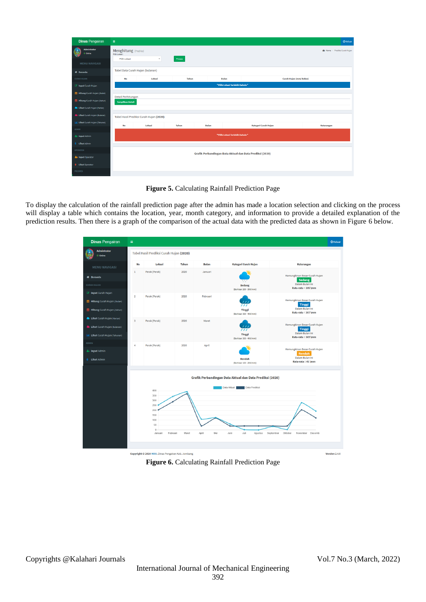| <b>Dinas Pengairan</b>             | $\equiv$                                      |                                         |              |              |                                |                                                          | <b>O</b> Keluar                      |
|------------------------------------|-----------------------------------------------|-----------------------------------------|--------------|--------------|--------------------------------|----------------------------------------------------------|--------------------------------------|
| Admintrator<br>Online              | Menghitung (Prediksi)<br>Pilih Lokasi:        |                                         |              |              |                                |                                                          | <b>B</b> Home > Prediksi Curah Huian |
| <b>MENU NAVIGASI</b>               | Pilih Lokasi                                  | $\tau$                                  | Proses       |              |                                |                                                          |                                      |
| # Beranda                          |                                               | Tabel Data Curah Hujan (bulanan)        |              |              |                                |                                                          |                                      |
| <b>CURAH HUJAN</b>                 | No                                            | Lokasi                                  | <b>Tahun</b> |              | <b>Bulan</b>                   | Curah Hujan (mm/ Bulan)                                  |                                      |
| <b>B</b> Input Curah Hujan         |                                               |                                         |              |              | "Pilih Lokasi Terlebih Dahulu" |                                                          |                                      |
| Hitung Curah Hujan (/bulan)        |                                               |                                         |              |              |                                |                                                          |                                      |
| <b>Hitung Curah Hujan (/tahun)</b> | Detail Perhitungan<br><b>Tampilkan Detail</b> |                                         |              |              |                                |                                                          |                                      |
| Lihat Curah Hujan (Harian)         |                                               |                                         |              |              |                                |                                                          |                                      |
| Lihat Curah Hujan (Bulanan)        |                                               | Tabel Hasil Prediksi Curah Hujan (2020) |              |              |                                |                                                          |                                      |
| AL Lihat Curah Hujan (Tahunan)     | No                                            | Lokasi                                  | <b>Tahun</b> | <b>Bulan</b> |                                | Kategori Curah Hujan                                     | Keterangan                           |
| <b>ADMIN</b>                       |                                               |                                         |              |              |                                |                                                          |                                      |
| <b>&amp;</b> Input Admin           |                                               |                                         |              |              | "Pilih Lokasi Terlebih Dahulu" |                                                          |                                      |
| Lihat Admin                        |                                               |                                         |              |              |                                |                                                          |                                      |
| <b>OPERATOR</b>                    |                                               |                                         |              |              |                                | Grafik Perbandingan Data Aktual dan Data Prediksi (2020) |                                      |
| <b>&amp;</b> Input Operator        |                                               |                                         |              |              |                                |                                                          |                                      |
| <b>Lihat Operator</b>              |                                               |                                         |              |              |                                |                                                          |                                      |
| <b>PREDIKSI</b>                    |                                               |                                         |              |              |                                |                                                          |                                      |

**Figure 5.** Calculating Rainfall Prediction Page

To display the calculation of the rainfall prediction page after the admin has made a location selection and clicking on the process will display a table which contains the location, year, month category, and information to provide a detailed explanation of the prediction results. Then there is a graph of the comparison of the actual data with the predicted data as shown in Figure 6 below.



**Figure 6.** Calculating Rainfall Prediction Page